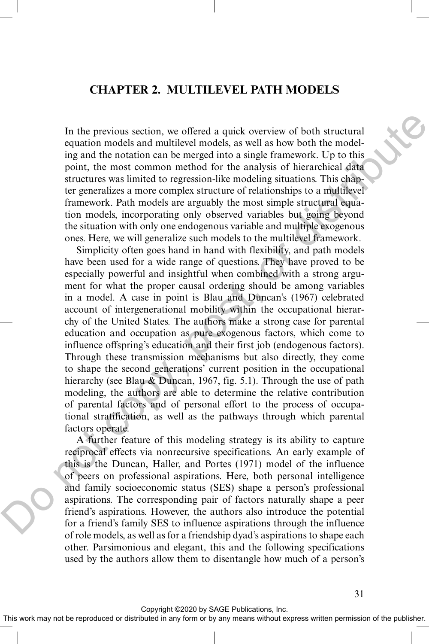# **CHAPTER 2. MULTILEVEL PATH MODELS**

In the previous section, we offered a quick overview of both structural equation models and multilevel models, as well as how both the modeling and the notation can be merged into a single framework. Up to this point, the most common method for the analysis of hierarchical data structures was limited to regression-like modeling situations. This chapter generalizes a more complex structure of relationships to a multilevel framework. Path models are arguably the most simple structural equation models, incorporating only observed variables but going beyond the situation with only one endogenous variable and multiple exogenous ones. Here, we will generalize such models to the multilevel framework.

Simplicity often goes hand in hand with flexibility, and path models have been used for a wide range of questions. They have proved to be especially powerful and insightful when combined with a strong argument for what the proper causal ordering should be among variables in a model. A case in point is Blau and Duncan's (1967) celebrated account of intergenerational mobility within the occupational hierarchy of the United States. The authors make a strong case for parental education and occupation as pure exogenous factors, which come to influence offspring's education and their first job (endogenous factors). Through these transmission mechanisms but also directly, they come to shape the second generations' current position in the occupational hierarchy (see Blau & Duncan, 1967, fig. 5.1). Through the use of path modeling, the authors are able to determine the relative contribution of parental factors and of personal effort to the process of occupational stratification, as well as the pathways through which parental factors operate. In the previous section, we offered a quick overview of both structural<br>equation models and multilevel models as well as how both the model<br>ing and the notation can be merged into a single framework. Up to this<br>ing and th

A further feature of this modeling strategy is its ability to capture reciprocal effects via nonrecursive specifications. An early example of this is the Duncan, Haller, and Portes (1971) model of the influence of peers on professional aspirations. Here, both personal intelligence and family socioeconomic status (SES) shape a person's professional aspirations. The corresponding pair of factors naturally shape a peer friend's aspirations. However, the authors also introduce the potential for a friend's family SES to influence aspirations through the influence of role models, as well as for a friendship dyad's aspirations to shape each other. Parsimonious and elegant, this and the following specifications used by the authors allow them to disentangle how much of a person's

Copyright ©2020 by SAGE Publications, Inc.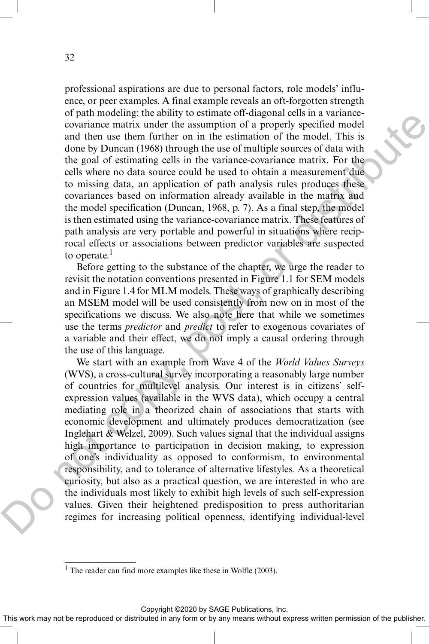professional aspirations are due to personal factors, role models' influence, or peer examples. A final example reveals an oft-forgotten strength of path modeling: the ability to estimate off-diagonal cells in a variancecovariance matrix under the assumption of a properly specified model and then use them further on in the estimation of the model. This is done by Duncan (1968) through the use of multiple sources of data with the goal of estimating cells in the variance-covariance matrix. For the cells where no data source could be used to obtain a measurement due to missing data, an application of path analysis rules produces these covariances based on information already available in the matrix and the model specification (Duncan, 1968, p. 7). As a final step, the model is then estimated using the variance-covariance matrix. These features of path analysis are very portable and powerful in situations where reciprocal effects or associations between predictor variables are suspected to operate. $<sup>1</sup>$ </sup>

Before getting to the substance of the chapter, we urge the reader to revisit the notation conventions presented in Figure 1.1 for SEM models and in Figure 1.4 for MLM models. These ways of graphically describing an MSEM model will be used consistently from now on in most of the specifications we discuss. We also note here that while we sometimes use the terms *predictor* and *predict* to refer to exogenous covariates of a variable and their effect, we do not imply a causal ordering through the use of this language.

We start with an example from Wave 4 of the *World Values Surveys* (WVS), a cross-cultural survey incorporating a reasonably large number of countries for multilevel analysis. Our interest is in citizens' selfexpression values (available in the WVS data), which occupy a central mediating role in a theorized chain of associations that starts with economic development and ultimately produces democratization (see Inglehart & Welzel, 2009). Such values signal that the individual assigns high importance to participation in decision making, to expression of one's individuality as opposed to conformism, to environmental responsibility, and to tolerance of alternative lifestyles. As a theoretical curiosity, but also as a practical question, we are interested in who are the individuals most likely to exhibit high levels of such self-expression values. Given their heightened predisposition to press authoritarian regimes for increasing political openness, identifying individual-level or paramotons in a tantaries of the model<br>in the desirurgity are the signal of a properly specified model<br>and then the threm further on in the estimation of a properly specified model<br>and then use them further on in the e

Copyright ©2020 by SAGE Publications, Inc.

<sup>&</sup>lt;sup>1</sup> The reader can find more examples like these in Wolfle (2003).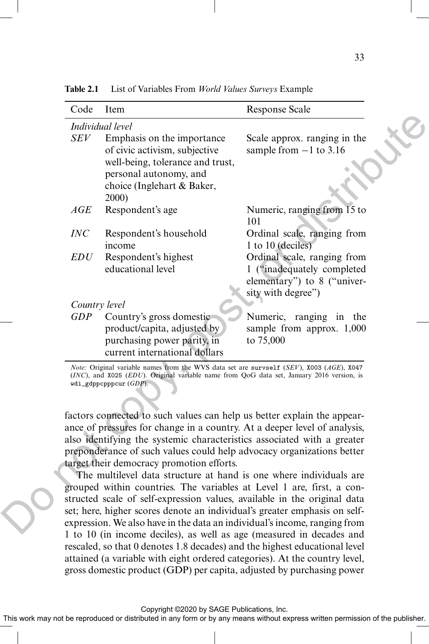| Code                                                                                                                                                   | Item                                                                                                                                                                                                                                           | <b>Response Scale</b>                                                                                          |  |  |  |
|--------------------------------------------------------------------------------------------------------------------------------------------------------|------------------------------------------------------------------------------------------------------------------------------------------------------------------------------------------------------------------------------------------------|----------------------------------------------------------------------------------------------------------------|--|--|--|
| Individual level                                                                                                                                       |                                                                                                                                                                                                                                                |                                                                                                                |  |  |  |
| SEV                                                                                                                                                    | Emphasis on the importance<br>of civic activism, subjective<br>well-being, tolerance and trust,<br>personal autonomy, and<br>choice (Inglehart & Baker,                                                                                        | Scale approx. ranging in the<br>sample from $-1$ to 3.16                                                       |  |  |  |
|                                                                                                                                                        | 2000)                                                                                                                                                                                                                                          |                                                                                                                |  |  |  |
| AGE                                                                                                                                                    | Respondent's age                                                                                                                                                                                                                               | Numeric, ranging from 15 to<br>101                                                                             |  |  |  |
| INC                                                                                                                                                    | Respondent's household<br>income                                                                                                                                                                                                               | Ordinal scale, ranging from<br>1 to 10 (deciles)                                                               |  |  |  |
| <i>EDU</i>                                                                                                                                             | Respondent's highest<br>educational level                                                                                                                                                                                                      | Ordinal scale, ranging from<br>1 ("inadequately completed<br>elementary") to 8 ("univer-<br>sity with degree") |  |  |  |
| Country level                                                                                                                                          |                                                                                                                                                                                                                                                |                                                                                                                |  |  |  |
| <b>GDP</b>                                                                                                                                             | Country's gross domestic<br>product/capita, adjusted by<br>purchasing power parity, in<br>current international dollars                                                                                                                        | Numeric, ranging in the<br>sample from approx. 1,000<br>to 75,000                                              |  |  |  |
|                                                                                                                                                        | <i>Note:</i> Original variable names from the WVS data set are survself (SEV), X003 (AGE), X047<br>$(INC)$ , and X025 ( <i>EDU</i> ). Original variable name from QoG data set, January 2016 version, is<br>$\texttt{wdi\_gdppcpppcur}$ (GDP). |                                                                                                                |  |  |  |
| factors connected to such values can help us better explain the appear-                                                                                |                                                                                                                                                                                                                                                |                                                                                                                |  |  |  |
|                                                                                                                                                        | ance of pressures for change in a country. At a deeper level of analysis,                                                                                                                                                                      |                                                                                                                |  |  |  |
|                                                                                                                                                        | also identifying the systemic characteristics associated with a greater                                                                                                                                                                        |                                                                                                                |  |  |  |
|                                                                                                                                                        | preponderance of such values could help advocacy organizations better                                                                                                                                                                          |                                                                                                                |  |  |  |
|                                                                                                                                                        | target their democracy promotion efforts.                                                                                                                                                                                                      |                                                                                                                |  |  |  |
|                                                                                                                                                        | The multilevel data structure at hand is one where individuals are                                                                                                                                                                             |                                                                                                                |  |  |  |
|                                                                                                                                                        | grouped within countries. The variables at Level 1 are, first, a con-                                                                                                                                                                          |                                                                                                                |  |  |  |
| structed scale of self-expression values, available in the original data                                                                               |                                                                                                                                                                                                                                                |                                                                                                                |  |  |  |
| set; here, higher scores denote an individual's greater emphasis on self-<br>expression. We also have in the data an individual's income, ranging from |                                                                                                                                                                                                                                                |                                                                                                                |  |  |  |
|                                                                                                                                                        | 1 to 10 (in income decise) as well as ago (magayred in decodes and                                                                                                                                                                             |                                                                                                                |  |  |  |

**Table 2.1** List of Variables From *World Values Surveys* Example

The multilevel data structure at hand is one where individuals are grouped within countries. The variables at Level 1 are, first, a constructed scale of self-expression values, available in the original data set; here, higher scores denote an individual's greater emphasis on selfexpression. We also have in the data an individual's income, ranging from 1 to 10 (in income deciles), as well as age (measured in decades and rescaled, so that 0 denotes 1.8 decades) and the highest educational level attained (a variable with eight ordered categories). At the country level, gross domestic product (GDP) per capita, adjusted by purchasing power

Copyright ©2020 by SAGE Publications, Inc.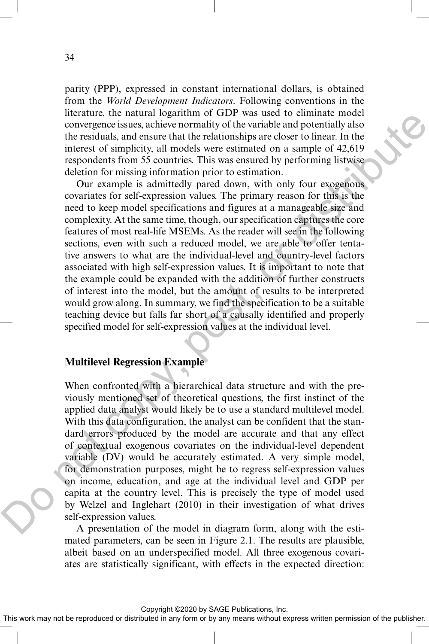parity (PPP), expressed in constant international dollars, is obtained from the *World Development Indicators*. Following conventions in the literature, the natural logarithm of GDP was used to eliminate model convergence issues, achieve normality of the variable and potentially also the residuals, and ensure that the relationships are closer to linear. In the interest of simplicity, all models were estimated on a sample of 42,619 respondents from 55 countries. This was ensured by performing listwise deletion for missing information prior to estimation.

Our example is admittedly pared down, with only four exogenous covariates for self-expression values. The primary reason for this is the need to keep model specifications and figures at a manageable size and complexity. At the same time, though, our specification captures the core features of most real-life MSEMs. As the reader will see in the following sections, even with such a reduced model, we are able to offer tentative answers to what are the individual-level and country-level factors associated with high self-expression values. It is important to note that the example could be expanded with the addition of further constructs of interest into the model, but the amount of results to be interpreted would grow along. In summary, we find the specification to be a suitable teaching device but falls far short of a causally identified and properly specified model for self-expression values at the individual level. means the manuri of smith of the resident of manner invectors and ensire a more associated in the resident of the resident of the resident in the resident interact of smithein state the mean of the mean interact of smithe

## **Multilevel Regression Example**

When confronted with a hierarchical data structure and with the previously mentioned set of theoretical questions, the first instinct of the applied data analyst would likely be to use a standard multilevel model. With this data configuration, the analyst can be confident that the standard errors produced by the model are accurate and that any effect of contextual exogenous covariates on the individual-level dependent variable (DV) would be accurately estimated. A very simple model, for demonstration purposes, might be to regress self-expression values on income, education, and age at the individual level and GDP per capita at the country level. This is precisely the type of model used by Welzel and Inglehart (2010) in their investigation of what drives self-expression values.

A presentation of the model in diagram form, along with the estimated parameters, can be seen in Figure 2.1. The results are plausible, albeit based on an underspecified model. All three exogenous covariates are statistically significant, with effects in the expected direction:

Copyright ©2020 by SAGE Publications, Inc.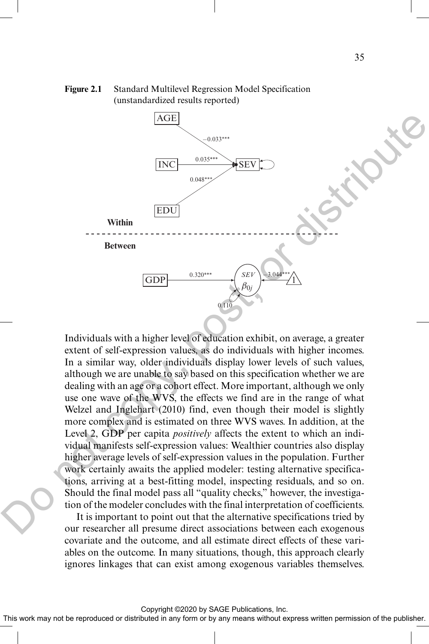

**Figure 2.1** Standard Multilevel Regression Model Specification (unstandardized results reported)

Individuals with a higher level of education exhibit, on average, a greater extent of self-expression values, as do individuals with higher incomes. In a similar way, older individuals display lower levels of such values, although we are unable to say based on this specification whether we are dealing with an age or a cohort effect. More important, although we only use one wave of the WVS, the effects we find are in the range of what Welzel and Inglehart (2010) find, even though their model is slightly more complex and is estimated on three WVS waves. In addition, at the Level 2, GDP per capita *positively* affects the extent to which an individual manifests self-expression values: Wealthier countries also display higher average levels of self-expression values in the population. Further work certainly awaits the applied modeler: testing alternative specifications, arriving at a best-fitting model, inspecting residuals, and so on. Should the final model pass all "quality checks," however, the investigation of the modeler concludes with the final interpretation of coefficients.

It is important to point out that the alternative specifications tried by our researcher all presume direct associations between each exogenous covariate and the outcome, and all estimate direct effects of these variables on the outcome. In many situations, though, this approach clearly ignores linkages that can exist among exogenous variables themselves.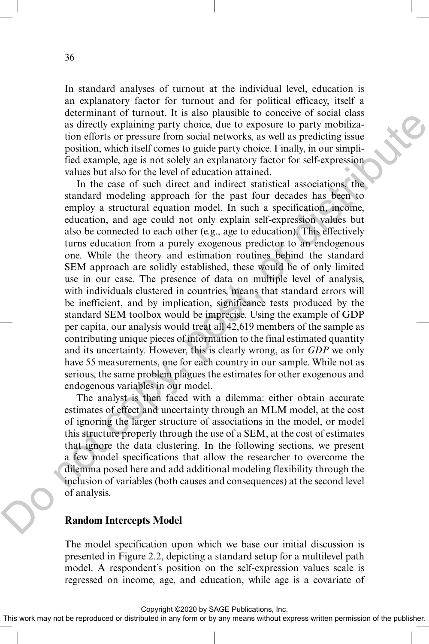In standard analyses of turnout at the individual level, education is an explanatory factor for turnout and for political efficacy, itself a determinant of turnout. It is also plausible to conceive of social class as directly explaining party choice, due to exposure to party mobilization efforts or pressure from social networks, as well as predicting issue position, which itself comes to guide party choice. Finally, in our simplified example, age is not solely an explanatory factor for self-expression values but also for the level of education attained.

In the case of such direct and indirect statistical associations, the standard modeling approach for the past four decades has been to employ a structural equation model. In such a specification, income, education, and age could not only explain self-expression values but also be connected to each other (e.g., age to education). This effectively turns education from a purely exogenous predictor to an endogenous one. While the theory and estimation routines behind the standard SEM approach are solidly established, these would be of only limited use in our case. The presence of data on multiple level of analysis, with individuals clustered in countries, means that standard errors will be inefficient, and by implication, significance tests produced by the standard SEM toolbox would be imprecise. Using the example of GDP per capita, our analysis would treat all 42,619 members of the sample as contributing unique pieces of information to the final estimated quantity and its uncertainty. However, this is clearly wrong, as for *GDP* we only have 55 measurements, one for each country in our sample. While not as serious, the same problem plagues the estimates for other exogenous and endogenous variables in our model. atesiminari or tunnits. It is any paralasie to concert to social case<br>at sitredly explaining party choice, due to exposure to party mobilization dents of restant from social atevotics, as well as predicting issues position

The analyst is then faced with a dilemma: either obtain accurate estimates of effect and uncertainty through an MLM model, at the cost of ignoring the larger structure of associations in the model, or model this structure properly through the use of a SEM, at the cost of estimates that ignore the data clustering. In the following sections, we present a few model specifications that allow the researcher to overcome the dilemma posed here and add additional modeling flexibility through the inclusion of variables (both causes and consequences) at the second level of analysis.

#### **Random Intercepts Model**

The model specification upon which we base our initial discussion is presented in Figure 2.2, depicting a standard setup for a multilevel path model. A respondent's position on the self-expression values scale is regressed on income, age, and education, while age is a covariate of

Copyright ©2020 by SAGE Publications, Inc.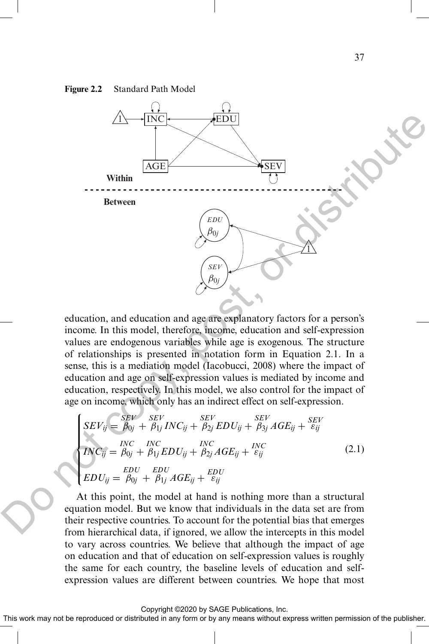#### **Figure 2.2** Standard Path Model



education, and education and age are explanatory factors for a person's income. In this model, therefore, income, education and self-expression values are endogenous variables while age is exogenous. The structure of relationships is presented in notation form in Equation 2.1. In a sense, this is a mediation model (Iacobucci, 2008) where the impact of education and age on self-expression values is mediated by income and education, respectively. In this model, we also control for the impact of age on income, which only has an indirect effect on self-expression.

$$
\begin{cases}\nSEV_{ij} = \frac{SEV}{\beta_{0j}} + \frac{SEV}{\beta_{1j}}INC_{ij} + \frac{SEV}{\beta_{2j}} EDU_{ij} + \frac{SEV}{\beta_{3j}} AGE_{ij} + \frac{SEV}{\varepsilon_{ij}} \\
INC_{ij} = \frac{INC}{\beta_{0j}} + \frac{INC}{\beta_{1j}} EDU_{ij} + \frac{INC}{\beta_{2j}} AGE_{ij} + \frac{INC}{\varepsilon_{ij}} \\
EDU_{ij} = \frac{EDU}{\beta_{0j}} + \frac{EDU}{\beta_{1j}} AGE_{ij} + \frac{EDU}{\varepsilon_{ij}}\n\end{cases}
$$
\n(2.1)

At this point, the model at hand is nothing more than a structural equation model. But we know that individuals in the data set are from their respective countries. To account for the potential bias that emerges from hierarchical data, if ignored, we allow the intercepts in this model to vary across countries. We believe that although the impact of age on education and that of education on self-expression values is roughly the same for each country, the baseline levels of education and selfexpression values are different between countries. We hope that most

Copyright ©2020 by SAGE Publications, Inc.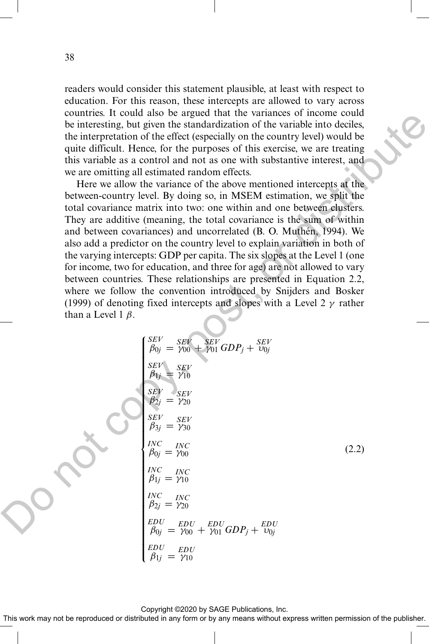readers would consider this statement plausible, at least with respect to education. For this reason, these intercepts are allowed to vary across countries. It could also be argued that the variances of income could be interesting, but given the standardization of the variable into deciles, the interpretation of the effect (especially on the country level) would be quite difficult. Hence, for the purposes of this exercise, we are treating this variable as a control and not as one with substantive interest, and we are omitting all estimated random effects.

Here we allow the variance of the above mentioned intercepts at the between-country level. By doing so, in MSEM estimation, we split the total covariance matrix into two: one within and one between clusters. They are additive (meaning, the total covariance is the sum of within and between covariances) and uncorrelated (B. O. Muthén, 1994). We also add a predictor on the country level to explain variation in both of the varying intercepts: GDP per capita. The six slopes at the Level 1 (one for income, two for education, and three for age) are not allowed to vary between countries. These relationships are presented in Equation 2.2, where we follow the convention introduced by Snijders and Bosker (1999) of denoting fixed intercepts and slopes with a Level 2  $\gamma$  rather than a Level 1  $\beta$ .

countants. The total also of a gradient due with anialness of the interesting, but given the standardization of the variable into deciles, the interpretation of the effect (especially on the country level) would be quite difficult. Hence, for the purposes of this exercise, we are treating this variable as a control and not as one with substantive interest, and we are omitting all estimated random effects.

\nHere we allow the variance of the above mentioned intercepts at the between-courtry level, by doing so, in MSSM estimation, we split the total covariance matrix into two: one within and one between clusters. They are additive (meaning, the total covariance is the sum of within and between covariances) and uncorrelated (B. O. Mutthen, 1994). We also add a prediction on the country level to explain variation in both of the varying intercepts: GDP per capita. The six slopes at the Level 1 (one for income, two for education, and three for age) are not allowed to vary between countries. These relationships are presented in Equation 2.2, where we follow the convention introduced by Snijders and Bosker (1999) of denoting fixed intercepts and slopes with a Level 2 *γ* rather than a Level 1 *β*.

\nSET: 
$$
\begin{cases}\n\frac{SEV}{\beta_{1j}} = \frac{SEV}{Y10} \\
\frac{SEV}{\beta_{1j}} = \frac{SEV}{Y10} \\
\frac{SEV}{\beta_{1j}} = \frac{SEV}{Y10} \\
\frac{SEV}{\beta_{1j}} = \frac{SEV}{Y10} \\
\frac{SEV}{\beta_{1j}} = \frac{SEV}{Y10} \\
\frac{SEV}{\beta_{1j}} = \frac{NEV}{Y10} \\
\frac{EDV}{\beta_{1j}} = \frac{NEU}{Y10} \\
\frac{EDU}{\beta_{1j}} = \frac{NEU}{Y10} \\
\frac{EDU}{\beta_{1j}} = \frac{NEU}{Y10} \\
\frac{EDU}{\beta_{1j}} = \frac{NEU}{Y10} \\
\frac{EDU}{\beta_{1j}} = \frac{NEU}{Y10} \\
\frac{EDU}{\beta_{1j}} = \frac{NEU}{Y10} \\
\frac{EDU}{\beta_{1j}} = \frac{NEU}{Y10} \\
\frac{EDU}{\beta_{1j}} = \frac{NEU}{Y10} \\
\frac{EDU}{\beta_{1j}} = \frac{NEU}{Y10} \\
\frac{EDU}{\beta_{1j}} = \frac{NEU}{Y10} \\
\frac{EDU}{\beta_{1j}} = \frac{NEU}{Y10} \\
\frac{EDU}{\beta_{1j}} = \frac{NEU}{Y10} \\
\frac{EDU}{\beta_{1j}} = \frac{NEU}{Y10
$$

Copyright ©2020 by SAGE Publications, Inc.

This work may not be reproduced or distributed in any form or by any means without express written permission of the publisher.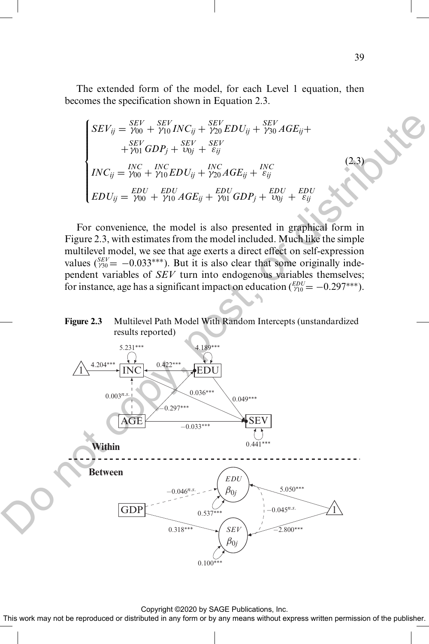The extended form of the model, for each Level 1 equation, then becomes the specification shown in Equation 2.3.

$$
\begin{cases}\nSEV_{ij} = \frac{SEV}{\gamma_{00}} + \frac{SEV}{\gamma_{10}}INC_{ij} + \frac{SEV}{\gamma_{20}} EDU_{ij} + \frac{SEV}{\gamma_{30}} AGE_{ij} + \\
\quad + \frac{SEV}{\gamma_{01}} GDP_{j} + \frac{SEV}{\nu_{0j}} + \frac{SEV}{\varepsilon_{ij}} \\
INC_{ij} = \frac{INC}{\gamma_{00}} + \frac{INC}{\gamma_{10}} EDU_{ij} + \frac{INC}{\gamma_{20}} AGE_{ij} + \frac{INC}{\varepsilon_{ij}} \\
EDU_{ij} = \frac{EDU}{\gamma_{00}} + \frac{EDU}{\gamma_{10}} AGE_{ij} + \frac{EDU}{\gamma_{01}} GDP_{j} + \frac{EDU}{\nu_{0j}} + \frac{EDU}{\varepsilon_{ij}}\n\end{cases}
$$

For convenience, the model is also presented in graphical form in Figure 2.3, with estimates from the model included. Much like the simple multilevel model, we see that age exerts a direct effect on self-expression values  $({}_{730}^{SEV}$  = -0.033<sup>\*\*\*</sup>). But it is also clear that some originally independent variables of *SEV* turn into endogenous variables themselves; for instance, age has a significant impact on education  $\binom{EDU}{Y10} = -0.297***$ ).

#### **Figure 2.3** Multilevel Path Model With Random Intercepts (unstandardized results reported)



Copyright ©2020 by SAGE Publications, Inc.

This work may not be reproduced or distributed in any form or by any means without express written permission of the publisher.

(2.3)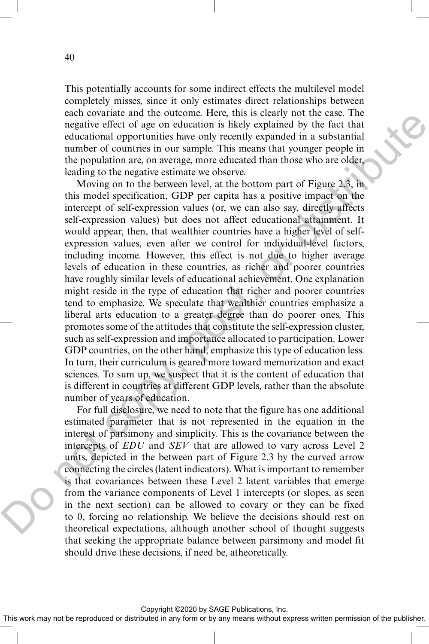This potentially accounts for some indirect effects the multilevel model completely misses, since it only estimates direct relationships between each covariate and the outcome. Here, this is clearly not the case. The negative effect of age on education is likely explained by the fact that educational opportunities have only recently expanded in a substantial number of countries in our sample. This means that younger people in the population are, on average, more educated than those who are older, leading to the negative estimate we observe.

Moving on to the between level, at the bottom part of Figure 2.3, in this model specification, GDP per capita has a positive impact on the intercept of self-expression values (or, we can also say, directly affects self-expression values) but does not affect educational attainment. It would appear, then, that wealthier countries have a higher level of selfexpression values, even after we control for individual-level factors, including income. However, this effect is not due to higher average levels of education in these countries, as richer and poorer countries have roughly similar levels of educational achievement. One explanation might reside in the type of education that richer and poorer countries tend to emphasize. We speculate that wealthier countries emphasize a liberal arts education to a greater degree than do poorer ones. This promotes some of the attitudes that constitute the self-expression cluster, such as self-expression and importance allocated to participation. Lower GDP countries, on the other hand, emphasize this type of education less. In turn, their curriculum is geared more toward memorization and exact sciences. To sum up, we suspect that it is the content of education that is different in countries at different GDP levels, rather than the absolute number of years of education. eara violunial on the outcome. There, units be taken the contract of a gas one duration is likely explained by the fact that<br>educational opportunities have only recently expanded in a substantial<br>number of countries in our

For full disclosure, we need to note that the figure has one additional estimated parameter that is not represented in the equation in the interest of parsimony and simplicity. This is the covariance between the intercepts of *EDU* and *SEV* that are allowed to vary across Level 2 units, depicted in the between part of Figure 2.3 by the curved arrow connecting the circles (latent indicators). What is important to remember is that covariances between these Level 2 latent variables that emerge from the variance components of Level 1 intercepts (or slopes, as seen in the next section) can be allowed to covary or they can be fixed to 0, forcing no relationship. We believe the decisions should rest on theoretical expectations, although another school of thought suggests that seeking the appropriate balance between parsimony and model fit should drive these decisions, if need be, atheoretically.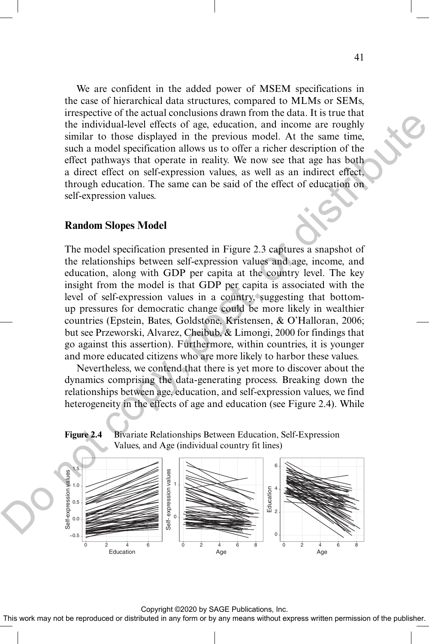We are confident in the added power of MSEM specifications in the case of hierarchical data structures, compared to MLMs or SEMs, irrespective of the actual conclusions drawn from the data. It is true that the individual-level effects of age, education, and income are roughly similar to those displayed in the previous model. At the same time, such a model specification allows us to offer a richer description of the effect pathways that operate in reality. We now see that age has both a direct effect on self-expression values, as well as an indirect effect, through education. The same can be said of the effect of education on self-expression values.

#### **Random Slopes Model**

The model specification presented in Figure 2.3 captures a snapshot of the relationships between self-expression values and age, income, and education, along with GDP per capita at the country level. The key insight from the model is that GDP per capita is associated with the level of self-expression values in a country, suggesting that bottomup pressures for democratic change could be more likely in wealthier countries (Epstein, Bates, Goldstone, Kristensen, & O'Halloran, 2006; but see Przeworski, Alvarez, Cheibub, & Limongi, 2000 for findings that go against this assertion). Furthermore, within countries, it is younger and more educated citizens who are more likely to harbor these values. metale of the actual contrastions unaw informing the state of the metal control of the method of the provision model. At the same time<br>similar to those displayed in the provision model. At the same time<br>such a model specif

Nevertheless, we contend that there is yet more to discover about the dynamics comprising the data-generating process. Breaking down the relationships between age, education, and self-expression values, we find heterogeneity in the effects of age and education (see Figure 2.4). While

**Figure 2.4** Bivariate Relationships Between Education, Self-Expression Values, and Age (individual country fit lines)



Copyright ©2020 by SAGE Publications, Inc.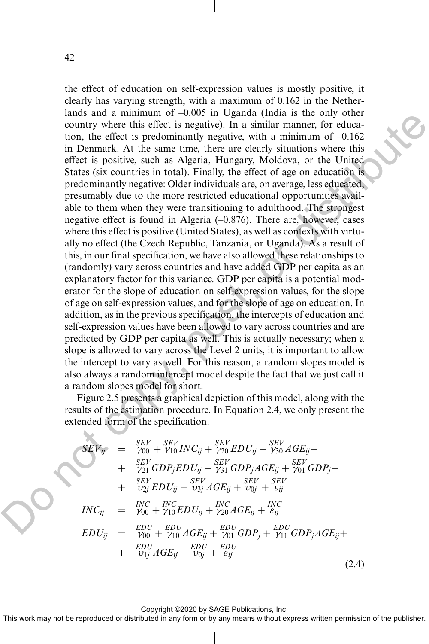the effect of education on self-expression values is mostly positive, it clearly has varying strength, with a maximum of 0.162 in the Netherlands and a minimum of –0.005 in Uganda (India is the only other country where this effect is negative). In a similar manner, for education, the effect is predominantly negative, with a minimum of  $-0.162$ in Denmark. At the same time, there are clearly situations where this effect is positive, such as Algeria, Hungary, Moldova, or the United States (six countries in total). Finally, the effect of age on education is predominantly negative: Older individuals are, on average, less educated, presumably due to the more restricted educational opportunities available to them when they were transitioning to adulthood. The strongest negative effect is found in Algeria (–0.876). There are, however, cases where this effect is positive (United States), as well as contexts with virtually no effect (the Czech Republic, Tanzania, or Uganda). As a result of this, in our final specification, we have also allowed these relationships to (randomly) vary across countries and have added GDP per capita as an explanatory factor for this variance. GDP per capita is a potential moderator for the slope of education on self-expression values, for the slope of age on self-expression values, and for the slope of age on education. In addition, as in the previous specification, the intercepts of education and self-expression values have been allowed to vary across countries and are predicted by GDP per capita as well. This is actually necessary; when a slope is allowed to vary across the Level 2 units, it is important to allow the intercept to vary as well. For this reason, a random slopes model is also always a random intercept model despite the fact that we just call it a random slopes model for short. annum and animalia on  $-0.005$  in the gauge that are long one.<br>
to the refer is select is negative). In a similar manner, for education, the effect is predicting the part of  $\sim 0.02$  in Demant. At the same time, there ar

Figure 2.5 presents a graphical depiction of this model, along with the results of the estimation procedure. In Equation 2.4, we only present the extended form of the specification.

$$
SEV_{ij} = \frac{SEV}{\gamma_{00}} + \frac{SEV}{\gamma_{10}}INC_{ij} + \frac{SEV}{\gamma_{20}} EDU_{ij} + \frac{SEV}{\gamma_{30}} AGE_{ij} + \\ + \frac{SEV}{\gamma_{21}} GDP_j EDU_{ij} + \frac{SEV}{\gamma_{31}} GDP_j AGE_{ij} + \frac{SEV}{\gamma_{01}} GDP_j + \\ + \frac{SEV}{\nu_{2j}} EDU_{ij} + \frac{SEV}{\nu_{3j}} AGE_{ij} + \frac{SEV}{\nu_{0j}} + \frac{SEV}{\epsilon_{ij}} \\ INC_{ij} = \frac{INC}{\gamma_{00}} + \frac{INC}{\gamma_{10}} EDU_{ij} + \frac{INC}{\gamma_{20}} AGE_{ij} + \frac{INC}{\epsilon_{ij}} \\ EDU_{ij} = \frac{EDU}{\gamma_{00}} + \frac{EDU}{\gamma_{10}} AGE_{ij} + \frac{EDU}{\gamma_{01}} GDP_j + \frac{EDU}{\gamma_{11}} GDP_j AGE_{ij} + \\ + \frac{EDU}{\nu_{1j}} AGE_{ij} + \frac{EDU}{\nu_{0j}} + \frac{EDU}{\epsilon_{ij}} \tag{2.4}
$$

Copyright ©2020 by SAGE Publications, Inc.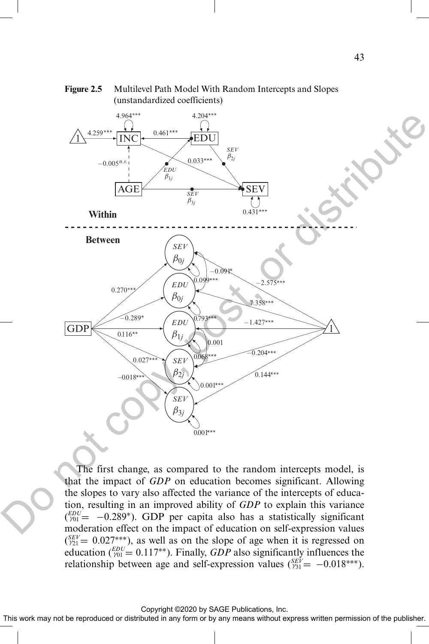

#### **Figure 2.5** Multilevel Path Model With Random Intercepts and Slopes (unstandardized coefficients)

The first change, as compared to the random intercepts model, is that the impact of *GDP* on education becomes significant. Allowing the slopes to vary also affected the variance of the intercepts of education, resulting in an improved ability of *GDP* to explain this variance  $\binom{EDU}{V01}$  = -0.289<sup>\*</sup>). GDP per capita also has a statistically significant moderation effect on the impact of education on self-expression values  $(S_{21}^{SEV} = 0.027^{***})$ , as well as on the slope of age when it is regressed on education  $\binom{EDU}{V01} = 0.117^{**}$ ). Finally, *GDP* also significantly influences the relationship between age and self-expression values  $\binom{SEV}{\gamma_{31}} = -0.018^{***}$ ).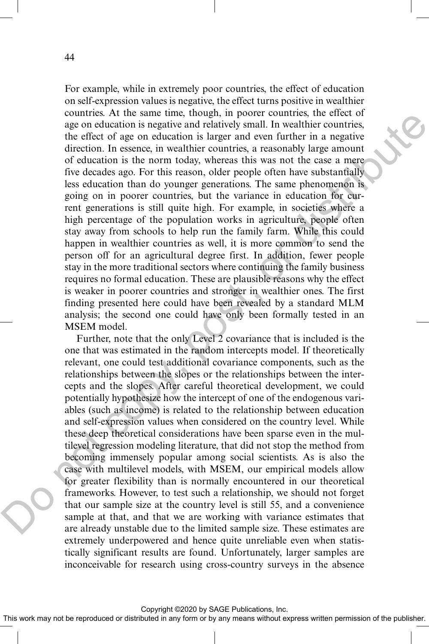For example, while in extremely poor countries, the effect of education on self-expression values is negative, the effect turns positive in wealthier countries. At the same time, though, in poorer countries, the effect of age on education is negative and relatively small. In wealthier countries, the effect of age on education is larger and even further in a negative direction. In essence, in wealthier countries, a reasonably large amount of education is the norm today, whereas this was not the case a mere five decades ago. For this reason, older people often have substantially less education than do younger generations. The same phenomenon is going on in poorer countries, but the variance in education for current generations is still quite high. For example, in societies where a high percentage of the population works in agriculture, people often stay away from schools to help run the family farm. While this could happen in wealthier countries as well, it is more common to send the person off for an agricultural degree first. In addition, fewer people stay in the more traditional sectors where continuing the family business requires no formal education. These are plausible reasons why the effect is weaker in poorer countries and stronger in wealthier ones. The first finding presented here could have been revealed by a standard MLM analysis; the second one could have only been formally tested in an MSEM model. countes. At its same tonic since that was entired to the react of the control of the cost of a control of education is negative and relatively small. In weathiner countries, the effect of age on ducation is the approximate

Further, note that the only Level 2 covariance that is included is the one that was estimated in the random intercepts model. If theoretically relevant, one could test additional covariance components, such as the relationships between the slopes or the relationships between the intercepts and the slopes. After careful theoretical development, we could potentially hypothesize how the intercept of one of the endogenous variables (such as income) is related to the relationship between education and self-expression values when considered on the country level. While these deep theoretical considerations have been sparse even in the multilevel regression modeling literature, that did not stop the method from becoming immensely popular among social scientists. As is also the case with multilevel models, with MSEM, our empirical models allow for greater flexibility than is normally encountered in our theoretical frameworks. However, to test such a relationship, we should not forget that our sample size at the country level is still 55, and a convenience sample at that, and that we are working with variance estimates that are already unstable due to the limited sample size. These estimates are extremely underpowered and hence quite unreliable even when statistically significant results are found. Unfortunately, larger samples are inconceivable for research using cross-country surveys in the absence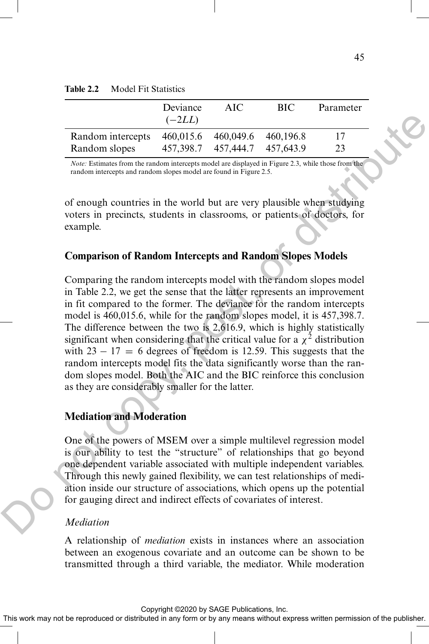|                   | Deviance<br>$(-2LL)$ | AIC.                             | <b>BIC</b> | Parameter |
|-------------------|----------------------|----------------------------------|------------|-----------|
| Random intercepts |                      | 460.015.6 460.049.6              | 460.196.8  | 17        |
| Random slopes     |                      | 457, 398.7 457, 444.7 457, 643.9 |            | 23        |

*Note:* Estimates from the random intercepts model are displayed in Figure 2.3, while those from the random intercepts and random slopes model are found in Figure 2.5.

of enough countries in the world but are very plausible when studying voters in precincts, students in classrooms, or patients of doctors, for example.

#### **Comparison of Random Intercepts and Random Slopes Models**

Comparing the random intercepts model with the random slopes model in Table 2.2, we get the sense that the latter represents an improvement in fit compared to the former. The deviance for the random intercepts model is 460,015.6, while for the random slopes model, it is 457,398.7. The difference between the two is 2,616.9, which is highly statistically significant when considering that the critical value for a  $\chi^2$  distribution with  $23 - 17 = 6$  degrees of freedom is 12.59. This suggests that the random intercepts model fits the data significantly worse than the random slopes model. Both the AIC and the BIC reinforce this conclusion as they are considerably smaller for the latter. Do not copy, post, or distribute

### **Mediation and Moderation**

One of the powers of MSEM over a simple multilevel regression model is our ability to test the "structure" of relationships that go beyond one dependent variable associated with multiple independent variables. Through this newly gained flexibility, we can test relationships of mediation inside our structure of associations, which opens up the potential for gauging direct and indirect effects of covariates of interest.

#### *Mediation*

A relationship of *mediation* exists in instances where an association between an exogenous covariate and an outcome can be shown to be transmitted through a third variable, the mediator. While moderation

Copyright ©2020 by SAGE Publications, Inc.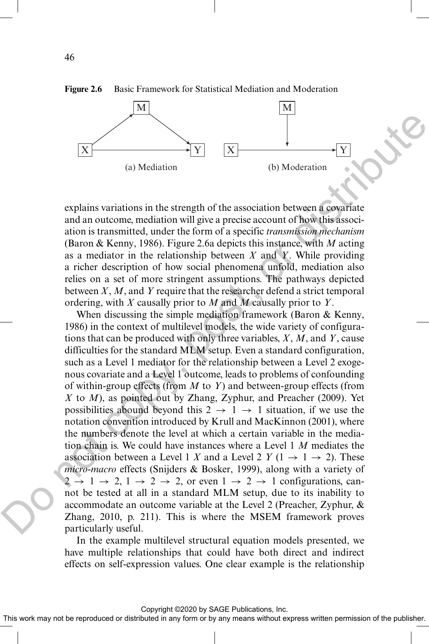

**Figure 2.6** Basic Framework for Statistical Mediation and Moderation

explains variations in the strength of the association between a covariate and an outcome, mediation will give a precise account of how this association is transmitted, under the form of a specific *transmission mechanism* (Baron & Kenny, 1986). Figure 2.6a depicts this instance, with *M* acting as a mediator in the relationship between *X* and *Y*. While providing a richer description of how social phenomena unfold, mediation also relies on a set of more stringent assumptions. The pathways depicted between *X*, *M*, and *Y* require that the researcher defend a strict temporal ordering, with *X* causally prior to *M* and *M* causally prior to *Y*.

When discussing the simple mediation framework (Baron & Kenny, 1986) in the context of multilevel models, the wide variety of configurations that can be produced with only three variables, *X*, *M*, and *Y*, cause difficulties for the standard MLM setup. Even a standard configuration, such as a Level 1 mediator for the relationship between a Level 2 exogenous covariate and a Level 1 outcome, leads to problems of confounding of within-group effects (from *M* to *Y*) and between-group effects (from *X* to *M*), as pointed out by Zhang, Zyphur, and Preacher (2009). Yet possibilities abound beyond this  $2 \rightarrow 1 \rightarrow 1$  situation, if we use the notation convention introduced by Krull and MacKinnon (2001), where the numbers denote the level at which a certain variable in the mediation chain is. We could have instances where a Level 1 *M* mediates the association between a Level 1 *X* and a Level 2 *Y* (1  $\rightarrow$  1  $\rightarrow$  2). These *micro-macro* effects (Snijders & Bosker, 1999), along with a variety of  $2 \rightarrow 1 \rightarrow 2, 1 \rightarrow 2 \rightarrow 2$ , or even  $1 \rightarrow 2 \rightarrow 1$  configurations, cannot be tested at all in a standard MLM setup, due to its inability to accommodate an outcome variable at the Level 2 (Preacher, Zyphur, & Zhang, 2010, p. 211). This is where the MSEM framework proves particularly useful. EX<br>
(a) Mediation (b) Moderation<br>
(b) Moderation<br>
explains variations in the strength of the association between a comprise<br>
and an outcome, mediation will give a precise account of how this sissec-<br>
and an outcome, media

> In the example multilevel structural equation models presented, we have multiple relationships that could have both direct and indirect effects on self-expression values. One clear example is the relationship

> > Copyright ©2020 by SAGE Publications, Inc.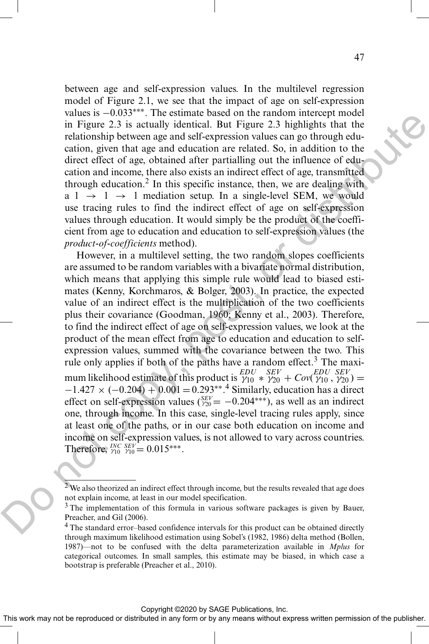between age and self-expression values. In the multilevel regression model of Figure 2.1, we see that the impact of age on self-expression values is −0.033∗∗∗. The estimate based on the random intercept model in Figure 2.3 is actually identical. But Figure 2.3 highlights that the relationship between age and self-expression values can go through education, given that age and education are related. So, in addition to the direct effect of age, obtained after partialling out the influence of education and income, there also exists an indirect effect of age, transmitted through education.<sup>2</sup> In this specific instance, then, we are dealing with  $a 1 \rightarrow 1 \rightarrow 1$  mediation setup. In a single-level SEM, we would use tracing rules to find the indirect effect of age on self-expression values through education. It would simply be the product of the coefficient from age to education and education to self-expression values (the *product-of-coefficients* method).

However, in a multilevel setting, the two random slopes coefficients are assumed to be random variables with a bivariate normal distribution, which means that applying this simple rule would lead to biased estimates (Kenny, Korchmaros, & Bolger, 2003). In practice, the expected value of an indirect effect is the multiplication of the two coefficients plus their covariance (Goodman, 1960; Kenny et al., 2003). Therefore, to find the indirect effect of age on self-expression values, we look at the product of the mean effect from age to education and education to selfexpression values, summed with the covariance between the two. This rule only applies if both of the paths have a random effect.<sup>3</sup> The maximum likelihood estimate of this product is  $\gamma_{10}^{EDU}$   $\frac{SEV}{\gamma_{20} + Cov(\gamma_{10}, \gamma_{20})} =$  $-1.427 \times (-0.204) + 0.001 = 0.293^{**}$ .<sup>4</sup> Similarly, education has a direct effect on self-expression values  $\binom{SEV}{120} = -0.204***$ ), as well as an indirect one, through income. In this case, single-level tracing rules apply, since at least one of the paths, or in our case both education on income and income on self-expression values, is not allowed to vary across countries. Therefore,  $^{INC}$ <sub>2FV</sub> = 0.015<sup>\*\*\*</sup>. values is  $\approx 0.003$ . The examine based on the instantaneous of the small increase of the particles and state particles and the particles control and the exact of the continue of the continue of the direct effect of age,

 $2$  We also theorized an indirect effect through income, but the results revealed that age does not explain income, at least in our model specification.

<sup>&</sup>lt;sup>3</sup> The implementation of this formula in various software packages is given by Bauer, Preacher, and Gil (2006).

<sup>&</sup>lt;sup>4</sup> The standard error–based confidence intervals for this product can be obtained directly through maximum likelihood estimation using Sobel's (1982, 1986) delta method (Bollen, 1987)—not to be confused with the delta parameterization available in *Mplus* for categorical outcomes. In small samples, this estimate may be biased, in which case a bootstrap is preferable (Preacher et al., 2010).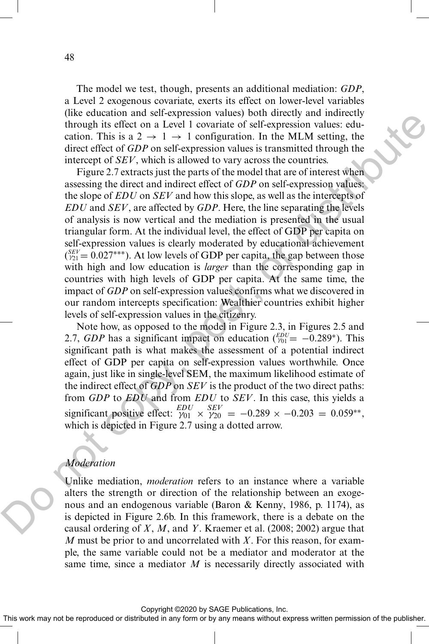The model we test, though, presents an additional mediation: *GDP*, a Level 2 exogenous covariate, exerts its effect on lower-level variables (like education and self-expression values) both directly and indirectly through its effect on a Level 1 covariate of self-expression values: education. This is a  $2 \rightarrow 1 \rightarrow 1$  configuration. In the MLM setting, the direct effect of *GDP* on self-expression values is transmitted through the intercept of *SEV*, which is allowed to vary across the countries.

Figure 2.7 extracts just the parts of the model that are of interest when assessing the direct and indirect effect of *GDP* on self-expression values: the slope of *EDU* on *SEV* and how this slope, as well as the intercepts of *EDU* and *SEV*, are affected by *GDP*. Here, the line separating the levels of analysis is now vertical and the mediation is presented in the usual triangular form. At the individual level, the effect of GDP per capita on self-expression values is clearly moderated by educational achievement  $\binom{SEV}{121} = 0.027$ <sup>\*\*\*</sup>). At low levels of GDP per capita, the gap between those with high and low education is *larger* than the corresponding gap in countries with high levels of GDP per capita. At the same time, the impact of *GDP* on self-expression values confirms what we discovered in our random intercepts specification: Wealthier countries exhibit higher levels of self-expression values in the citizenry. the cutation and serven source of the currely solution and the denoted in the MLM setting, the distributed first is a 2  $\sim 1$  - 2 contained through the interact effect of  $GDP$  on self-expression values is transmitted thr

Note how, as opposed to the model in Figure 2.3, in Figures 2.5 and 2.7, *GDP* has a significant impact on education  $\binom{EDU}{V01} = -0.289^*$ ). This significant path is what makes the assessment of a potential indirect effect of GDP per capita on self-expression values worthwhile. Once again, just like in single-level SEM, the maximum likelihood estimate of the indirect effect of *GDP* on *SEV* is the product of the two direct paths: from *GDP* to *EDU* and from *EDU* to *SEV*. In this case, this yields a significant positive effect:  $\frac{EDU}{V01} \times \frac{SEV}{V20} = -0.289 \times -0.203 = 0.059**$ , which is depicted in Figure 2.7 using a dotted arrow.

### *Moderation*

Unlike mediation, *moderation* refers to an instance where a variable alters the strength or direction of the relationship between an exogenous and an endogenous variable (Baron & Kenny, 1986, p. 1174), as is depicted in Figure 2.6b. In this framework, there is a debate on the causal ordering of *X*, *M*, and *Y*. Kraemer et al. (2008; 2002) argue that *M* must be prior to and uncorrelated with *X*. For this reason, for example, the same variable could not be a mediator and moderator at the same time, since a mediator *M* is necessarily directly associated with

48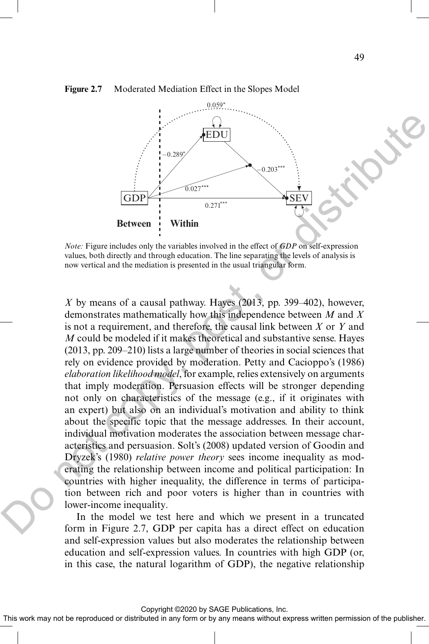

#### **Figure 2.7** Moderated Mediation Effect in the Slopes Model

*Note:* Figure includes only the variables involved in the effect of *GDP* on self-expression values, both directly and through education. The line separating the levels of analysis is now vertical and the mediation is presented in the usual triangular form.

*X* by means of a causal pathway. Hayes (2013, pp. 399–402), however, demonstrates mathematically how this independence between *M* and *X* is not a requirement, and therefore, the causal link between *X* or *Y* and *M* could be modeled if it makes theoretical and substantive sense. Hayes (2013, pp. 209–210) lists a large number of theories in social sciences that rely on evidence provided by moderation. Petty and Cacioppo's (1986) *elaboration likelihood model*, for example, relies extensively on arguments that imply moderation. Persuasion effects will be stronger depending not only on characteristics of the message (e.g., if it originates with an expert) but also on an individual's motivation and ability to think about the specific topic that the message addresses. In their account, individual motivation moderates the association between message characteristics and persuasion. Solt's (2008) updated version of Goodin and Dryzek's (1980) *relative power theory* sees income inequality as moderating the relationship between income and political participation: In countries with higher inequality, the difference in terms of participation between rich and poor voters is higher than in countries with lower-income inequality. **EDU**<br> **EDU**<br> **EDU**<br> **EDU**<br> **EDU**<br> **EVALURE TRANS (EDU)**<br> **EVALURE TRANS (EDU)**<br> **EVALURE TRANS (EXECUTED)**<br> **EVALURE TRANS (EXECUTED)**<br> **EVALURE TRANS (EXECUTED)**<br> **EVALURE TRANS (EXECUTED)**<br> **EVALURE TRANS (EXECUTED)**<br>

In the model we test here and which we present in a truncated form in Figure 2.7, GDP per capita has a direct effect on education and self-expression values but also moderates the relationship between education and self-expression values. In countries with high GDP (or, in this case, the natural logarithm of GDP), the negative relationship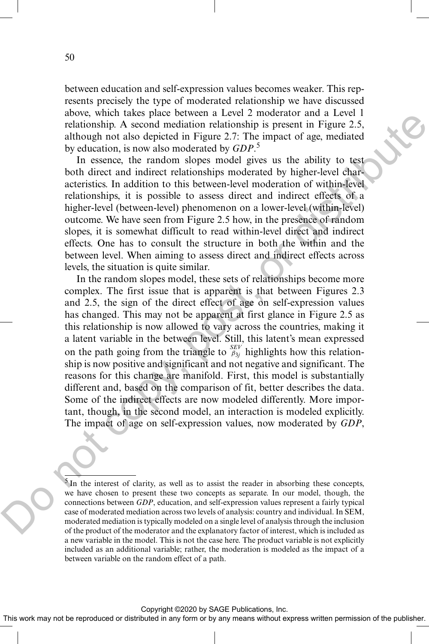between education and self-expression values becomes weaker. This represents precisely the type of moderated relationship we have discussed above, which takes place between a Level 2 moderator and a Level 1 relationship. A second mediation relationship is present in Figure 2.5, although not also depicted in Figure 2.7: The impact of age, mediated by education, is now also moderated by *GDP*. 5

In essence, the random slopes model gives us the ability to test both direct and indirect relationships moderated by higher-level characteristics. In addition to this between-level moderation of within-level relationships, it is possible to assess direct and indirect effects of a higher-level (between-level) phenomenon on a lower-level (within-level) outcome. We have seen from Figure 2.5 how, in the presence of random slopes, it is somewhat difficult to read within-level direct and indirect effects. One has to consult the structure in both the within and the between level. When aiming to assess direct and indirect effects across levels, the situation is quite similar.

In the random slopes model, these sets of relationships become more complex. The first issue that is apparent is that between Figures 2.3 and 2.5, the sign of the direct effect of age on self-expression values has changed. This may not be apparent at first glance in Figure 2.5 as this relationship is now allowed to vary across the countries, making it a latent variable in the between level. Still, this latent's mean expressed on the path going from the triangle to  $\frac{SEV}{\beta_{3j}}$  highlights how this relationship is now positive and significant and not negative and significant. The reasons for this change are manifold. First, this model is substantially different and, based on the comparison of fit, better describes the data. Some of the indirect effects are now modeled differently. More important, though, in the second model, an interaction is modeled explicitly. The impact of age on self-expression values, now moderated by *GDP*, above, when takes place testeds a Level 2 and<br>other having in the signal and the standard and the standard and the<br>relationship is present in Figure 2.5, although not also depicted in Figure 2.7<br>although on data depicted

 $5$ In the interest of clarity, as well as to assist the reader in absorbing these concepts, we have chosen to present these two concepts as separate. In our model, though, the connections between *GDP*, education, and self-expression values represent a fairly typical case of moderated mediation across two levels of analysis: country and individual. In SEM, moderated mediation is typically modeled on a single level of analysis through the inclusion of the product of the moderator and the explanatory factor of interest, which is included as a new variable in the model. This is not the case here. The product variable is not explicitly included as an additional variable; rather, the moderation is modeled as the impact of a between variable on the random effect of a path.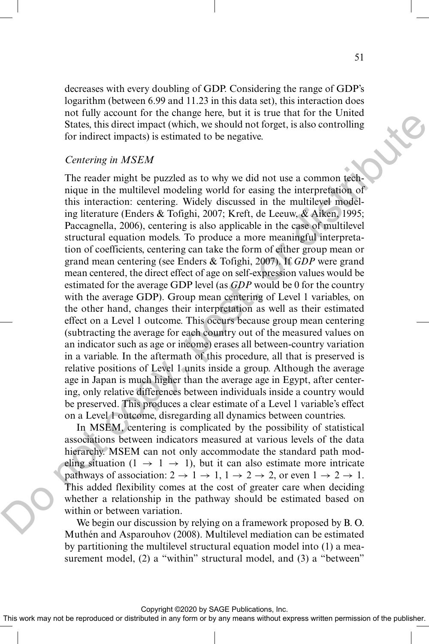decreases with every doubling of GDP. Considering the range of GDP's logarithm (between 6.99 and 11.23 in this data set), this interaction does not fully account for the change here, but it is true that for the United States, this direct impact (which, we should not forget, is also controlling for indirect impacts) is estimated to be negative.

#### *Centering in MSEM*

The reader might be puzzled as to why we did not use a common technique in the multilevel modeling world for easing the interpretation of this interaction: centering. Widely discussed in the multilevel modeling literature (Enders & Tofighi, 2007; Kreft, de Leeuw, & Aiken, 1995; Paccagnella, 2006), centering is also applicable in the case of multilevel structural equation models. To produce a more meaningful interpretation of coefficients, centering can take the form of either group mean or grand mean centering (see Enders & Tofighi, 2007). If *GDP* were grand mean centered, the direct effect of age on self-expression values would be estimated for the average GDP level (as *GDP* would be 0 for the country with the average GDP). Group mean centering of Level 1 variables, on the other hand, changes their interpretation as well as their estimated effect on a Level 1 outcome. This occurs because group mean centering (subtracting the average for each country out of the measured values on an indicator such as age or income) erases all between-country variation in a variable. In the aftermath of this procedure, all that is preserved is relative positions of Level 1 units inside a group. Although the average age in Japan is much higher than the average age in Egypt, after centering, only relative differences between individuals inside a country would be preserved. This produces a clear estimate of a Level 1 variable's effect on a Level 1 outcome, disregarding all dynamics between countries. not the mean of the many leads of the state for the measure of the comparison of the measure of the measurement of the measurement of the measurement of the measurement of the measurement of the measurement of the measure

In MSEM, centering is complicated by the possibility of statistical associations between indicators measured at various levels of the data hierarchy. MSEM can not only accommodate the standard path modeling situation  $(1 \rightarrow 1 \rightarrow 1)$ , but it can also estimate more intricate pathways of association:  $2 \rightarrow 1 \rightarrow 1, 1 \rightarrow 2 \rightarrow 2$ , or even  $1 \rightarrow 2 \rightarrow 1$ . This added flexibility comes at the cost of greater care when deciding whether a relationship in the pathway should be estimated based on within or between variation.

We begin our discussion by relying on a framework proposed by B. O. Muthén and Asparouhov (2008). Multilevel mediation can be estimated by partitioning the multilevel structural equation model into (1) a measurement model, (2) a "within" structural model, and (3) a "between"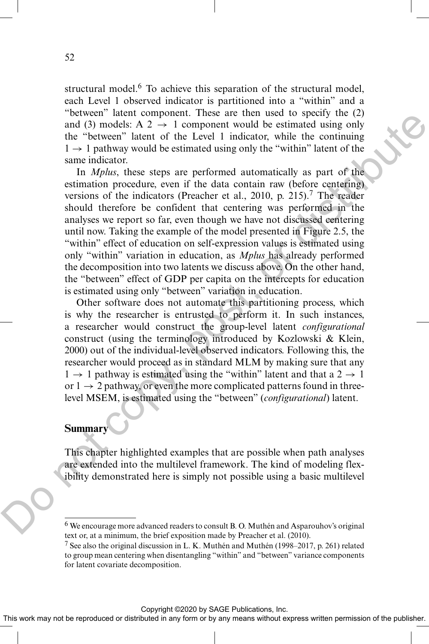structural model.<sup>6</sup> To achieve this separation of the structural model, each Level 1 observed indicator is partitioned into a "within" and a "between" latent component. These are then used to specify the (2) and (3) models: A 2  $\rightarrow$  1 component would be estimated using only the "between" latent of the Level 1 indicator, while the continuing  $1 \rightarrow 1$  pathway would be estimated using only the "within" latent of the same indicator.

In *Mplus*, these steps are performed automatically as part of the estimation procedure, even if the data contain raw (before centering) versions of the indicators (Preacher et al., 2010, p. 215).<sup>7</sup> The reader should therefore be confident that centering was performed in the analyses we report so far, even though we have not discussed centering until now. Taking the example of the model presented in Figure 2.5, the "within" effect of education on self-expression values is estimated using only "within" variation in education, as *Mplus* has already performed the decomposition into two latents we discuss above. On the other hand, the "between" effect of GDP per capita on the intercepts for education is estimated using only "between" variation in education. notes the matrix than the latter and the set in the set in the set in the set in the set in the behavior  $\ln A$  is  $\lambda \rightarrow 1$  component would be estimated using only the "othewn" latent of the Lovel 1 indicator, while the co

Other software does not automate this partitioning process, which is why the researcher is entrusted to perform it. In such instances, a researcher would construct the group-level latent *configurational* construct (using the terminology introduced by Kozlowski & Klein, 2000) out of the individual-level observed indicators. Following this, the researcher would proceed as in standard MLM by making sure that any  $1 \rightarrow 1$  pathway is estimated using the "within" latent and that a  $2 \rightarrow 1$ or  $1 \rightarrow 2$  pathway, or even the more complicated patterns found in threelevel MSEM, is estimated using the "between" (*configurational*) latent.

# **Summary**

This chapter highlighted examples that are possible when path analyses are extended into the multilevel framework. The kind of modeling flexibility demonstrated here is simply not possible using a basic multilevel

Copyright ©2020 by SAGE Publications, Inc.

This work may not be reproduced or distributed in any form or by any means without express written permission of the publisher.

<sup>&</sup>lt;sup>6</sup> We encourage more advanced readers to consult B.O. Muthén and Asparouhov's original text or, at a minimum, the brief exposition made by Preacher et al. (2010).

<sup>&</sup>lt;sup>7</sup> See also the original discussion in L. K. Muthén and Muthén (1998–2017, p. 261) related to group mean centering when disentangling "within" and "between" variance components for latent covariate decomposition.